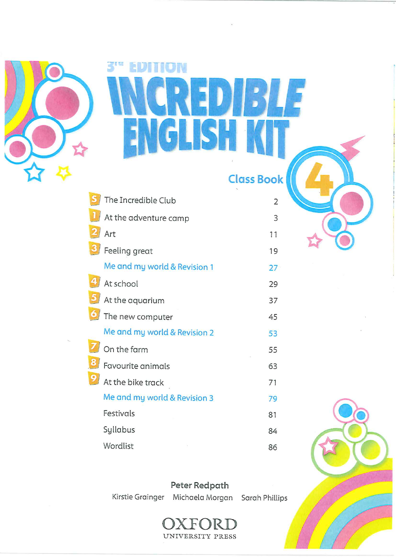

# **EDITION EXICA** 343  $\mathbf{S}^1$ H

**Class Book** 

| The Incredible Club          | 2  |
|------------------------------|----|
| At the adventure camp        | 3  |
| Art                          | 11 |
| Feeling great                | 19 |
| Me and my world & Revision 1 | 27 |
| At school                    | 29 |
| At the aquarium              | 37 |
| The new computer             | 45 |
| Me and my world & Revision 2 | 53 |
| On the farm                  | 55 |
| Favourite animals            | 63 |
| At the bike track            | 71 |
| Me and my world & Revision 3 | 79 |
| Festivals                    | 81 |
| Syllabus                     | 84 |
| Wordlist                     | 86 |

Peter Redpath

Kirstie Grainger Michaela Morgan Sarah Phillips



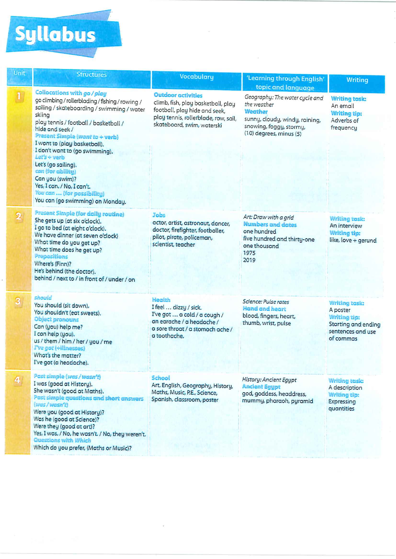# Syllabus

| Unit                    | <b>Structures</b>                                                                                                                                                                                                                                                                                                                                                                                                                                                                         | Vocabulary                                                                                                                                                             | 'Learning through English'                                                                                                                       |                                                                                                                  |
|-------------------------|-------------------------------------------------------------------------------------------------------------------------------------------------------------------------------------------------------------------------------------------------------------------------------------------------------------------------------------------------------------------------------------------------------------------------------------------------------------------------------------------|------------------------------------------------------------------------------------------------------------------------------------------------------------------------|--------------------------------------------------------------------------------------------------------------------------------------------------|------------------------------------------------------------------------------------------------------------------|
|                         |                                                                                                                                                                                                                                                                                                                                                                                                                                                                                           |                                                                                                                                                                        | topic and language                                                                                                                               | <b>Writing</b>                                                                                                   |
| $\mathbf{u}$            | Collocations with go / play<br>go climbing / rollerblading / fishing / rowing /<br>sailing / skateboarding / swimming / water<br>skiing<br>play tennis / football / basketball /<br>hide and seek /<br>Present Simple (want to + verb)<br>I want to (play basketball).<br>I don't want to (go swimming).<br>$Let's + verb$<br>Let's (go sailing).<br>can (for ability)<br>Can you (swim)?<br>Yes, I can. / No, I can't.<br>You can  (for possibility)<br>You can (go swimming) on Monday. | <b>Outdoor activities</b><br>climb, fish, play basketball, play<br>football, play hide and seek,<br>play tennis, rollerblade, row, sail,<br>skateboard, swim, waterski | Geography: The water cycle and<br>the weather<br>Weather<br>sunny, cloudy, windy, raining,<br>snowing, foggy, stormy,<br>(10) degrees, minus (5) | <b>Writing task:</b><br>An email<br><b>Writing tip:</b><br>Adverbs of<br>frequency                               |
| $\mathbf{2}$            | <b>Present Simple (for daily routine)</b><br>She gets up (at six o'clock).<br>I go to bed (at eight o'clock).<br>We have dinner (at seven o'clock)<br>What time do you get up?<br>What time does he get up?<br>Prepositions<br>Where's (Finn)?<br>He's behind (the doctor).<br>behind / next to / in front of / under / on                                                                                                                                                                | Jobs<br>actor, artist, astronaut, dancer,<br>doctor, firefighter, footballer,<br>pilot, pirate, policeman,<br>scientist, teacher                                       | Art: Draw with a grid<br><b>Numbers and dates</b><br>one hundred<br>five hundred and thirty-one<br>one thousand<br>1975<br>2019                  | <b>Writing task:</b><br>An interview<br><b>Writing tip:</b><br>like, love + gerund                               |
| $\overline{\mathbf{3}}$ | should<br>You should (sit down).<br>You shouldn't (eat sweets).<br>Object pronouns<br>Can (you) help me?<br>I can help (you).<br>us / them / him / her / you / me<br>I've got (+illnesses)<br>What's the matter?<br>I've got (a headache).                                                                                                                                                                                                                                                | Health<br>I feel  dizzy / sick.<br>I've got  a cold / a cough /<br>an earache / a headache /<br>a sore throat / a stomach ache /<br>a toothache.                       | Science: Pulse rates<br>Hand and heart<br>blood, fingers, heart,<br>thumb, wrist, pulse                                                          | <b>Writing task:</b><br>A poster<br><b>Writing tip:</b><br>Starting and ending<br>sentences and use<br>of commas |
| 4                       | Past simple (was / wasn't)<br>I was (good at History).<br>She wasn't (good at Maths).<br>Past simple questions and short answers<br>(was / wasn't)<br>Were you (good at History)?<br>Was he (good at Science)?<br>Were they (good at art)?<br>Yes, I was. / No, he wasn't. / No, they weren't.<br><b>Questions with Which</b><br>Which do you prefer, (Maths or Music)?                                                                                                                   | School<br>Art, English, Geography, History,<br>Maths, Music, P.E., Science,<br>Spanish, classroom, poster                                                              | History: Ancient Egypt<br><b>Ancient Egypt</b><br>god, goddess, headdress,<br>mummy, pharaoh, pyramid                                            | <b>Writing task:</b><br>A description<br>Writing tip:<br>Expressing<br>quantities                                |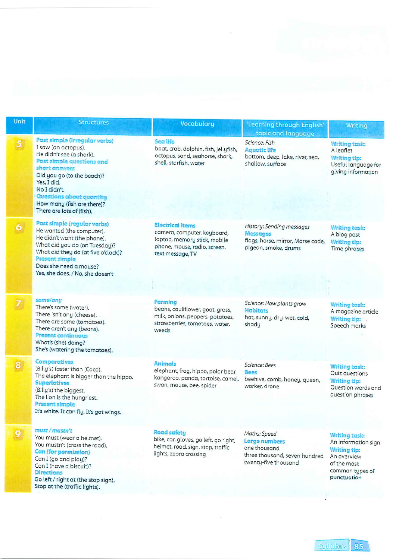| Unit                    | <b>Structures</b>                                                                                                                                                                                                                                                                  | Vocabulary                                                                                                                                 | Learning through English'                                                                                         | <b>Writing</b>                                                                                                                     |
|-------------------------|------------------------------------------------------------------------------------------------------------------------------------------------------------------------------------------------------------------------------------------------------------------------------------|--------------------------------------------------------------------------------------------------------------------------------------------|-------------------------------------------------------------------------------------------------------------------|------------------------------------------------------------------------------------------------------------------------------------|
| 5 <sub>5</sub>          | Past simple (irregular verbs)<br>I saw (an octopus).<br>He didn't see (a shark).<br>Past simple questions and<br>short answers<br>Did you go (to the beach)?<br>Yes, I did.<br>No I didn't.<br>Questions about quantity<br>How many (fish are there)?<br>There are lots of (fish). | Sea life<br>boat, crab, dolphin, fish, jellyfish,<br>octopus, sand, seahorse, shark,<br>shell, starfish, water                             | topic and language<br>Science: Fish<br><b>Aquatic life</b><br>bottom, deep, lake, river, sea,<br>shallow, surface | <b>Writing task:</b><br>A leaflet<br><b>Writing tip:</b><br>Useful language for<br>giving information                              |
| $\ddot{\bullet}$        | Past simple (regular verbs)<br>He wanted (the computer).<br>He didn't want (the phone).<br>What did you do (on Tuesday)?<br>What did they do (at five o'clock)?<br>Present simple<br>Does she need a mouse?<br>Yes, she does. / No, she doesn't                                    | <b>Electrical items</b><br>camera, computer, keyboard,<br>laptop, memory stick, mobile<br>phone, mouse, radio, screen,<br>text message, TV | History: Sending messages<br>Messages<br>flags, horse, mirror, Morse code,<br>pigeon, smoke, drums                | <b>Writing task:</b><br>A blog post<br><b>Writing tip:</b><br>Time phrases                                                         |
| $\overline{\mathbf{Z}}$ | some/any<br>There's some (water).<br>There isn't any (cheese).<br>There are some (tomatoes).<br>There aren't any (beans).<br><b>Present continuous</b><br>What's (she) doing?<br>She's (watering the tomatoes).                                                                    | Farming<br>beans, cauliflower, goat, grass,<br>milk, onions, peppers, potatoes,<br>strawberries, tomatoes, water,<br>weeds                 | Science: How plants grow<br><b>Habitats</b><br>hot, sunny, dry, wet, cold,<br>shady                               | <b>Writing task:</b><br>A magazine article<br><b>Writing tip:</b><br>Speech marks                                                  |
| $\bullet$               | Comparatives<br>(Billy's) faster than (Coco).<br>The elephant is bigger than the hippo.<br><b>Superlatives</b><br>(Billy's) the biggest.<br>The lion is the hungriest.<br>Present simple<br>It's white. It can fly. It's got wings.                                                | <b>Animals</b><br>elephant, frog, hippo, polar bear,<br>kangaroo, panda, tortoise, camel,<br>swan, mouse, bee, spider                      | Science: Bees<br><b>Bees</b><br>beehive, comb, honey, queen,<br>worker, drone                                     | <b>Writing task:</b><br>Quiz questions<br><b>Writing tip:</b><br>Question words and<br>question phrases                            |
| 9                       | must / mustn't<br>You must (wear a helmet).<br>You mustn't (cross the road).<br>Can (for permission)<br>Can I (go and play)?<br>Can I (have a biscuit)?<br><b>Directions</b><br>Go left / right at (the stop sign).<br>Stop at the (traffic lights).                               | Road safety<br>bike, car, gloves, go left, go right,<br>helmet, road, sign, stop, traffic<br>lights, zebra crossing                        | Maths: Speed<br>Large numbers<br>one thousand<br>three thousand, seven hundred<br>twenty-five thousand            | <b>Writing task:</b><br>An information sign<br><b>Writing tip:</b><br>An overview<br>of the most<br>common types of<br>punctuation |

 $\tilde{t}$ 

# Sullabus 85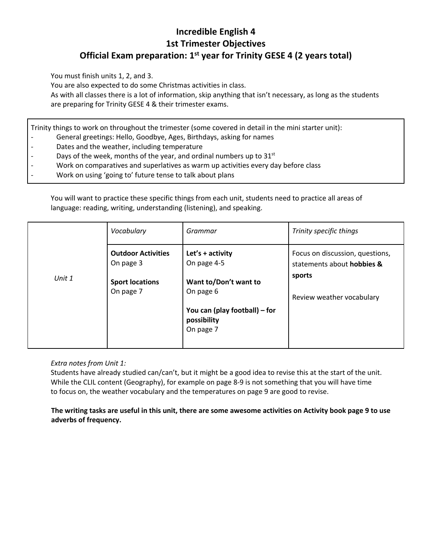# **Incredible English 4 1st Trimester Objectives Official Exam preparation: 1st year for Trinity GESE 4 (2 years total)**

You must finish units 1, 2, and 3.

You are also expected to do some Christmas activities in class.

As with all classes there is a lot of information, skip anything that isn't necessary, as long as the students are preparing for Trinity GESE 4 & their trimester exams.

Trinity things to work on throughout the trimester (some covered in detail in the mini starter unit):

- General greetings: Hello, Goodbye, Ages, Birthdays, asking for names
- Dates and the weather, including temperature
- Days of the week, months of the year, and ordinal numbers up to  $31<sup>st</sup>$
- Work on comparatives and superlatives as warm up activities every day before class
- Work on using 'going to' future tense to talk about plans

You will want to practice these specific things from each unit, students need to practice all areas of language: reading, writing, understanding (listening), and speaking.

|        | Vocabulary                             | Grammar                                                   | Trinity specific things                                       |
|--------|----------------------------------------|-----------------------------------------------------------|---------------------------------------------------------------|
|        | <b>Outdoor Activities</b><br>On page 3 | Let's + activity<br>On page 4-5                           | Focus on discussion, questions,<br>statements about hobbies & |
| Unit 1 | <b>Sport locations</b><br>On page 7    | Want to/Don't want to<br>On page 6                        | sports<br>Review weather vocabulary                           |
|        |                                        | You can (play football) – for<br>possibility<br>On page 7 |                                                               |
|        |                                        |                                                           |                                                               |

#### *Extra notes from Unit 1:*

Students have already studied can/can't, but it might be a good idea to revise this at the start of the unit. While the CLIL content (Geography), for example on page 8-9 is not something that you will have time to focus on, the weather vocabulary and the temperatures on page 9 are good to revise.

**The writing tasks are useful in this unit, there are some awesome activities on Activity book page 9 to use adverbs of frequency.**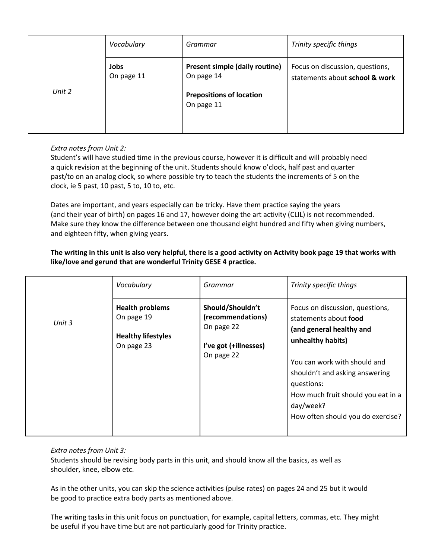|        | Vocabulary         | Grammar                                                                                              | Trinity specific things                                           |
|--------|--------------------|------------------------------------------------------------------------------------------------------|-------------------------------------------------------------------|
| Unit 2 | Jobs<br>On page 11 | <b>Present simple (daily routine)</b><br>On page 14<br><b>Prepositions of location</b><br>On page 11 | Focus on discussion, questions,<br>statements about school & work |

#### *Extra notes from Unit 2:*

Student's will have studied time in the previous course, however it is difficult and will probably need a quick revision at the beginning of the unit. Students should know o'clock, half past and quarter past/to on an analog clock, so where possible try to teach the students the increments of 5 on the clock, ie 5 past, 10 past, 5 to, 10 to, etc.

Dates are important, and years especially can be tricky. Have them practice saying the years (and their year of birth) on pages 16 and 17, however doing the art activity (CLIL) is not recommended. Make sure they know the difference between one thousand eight hundred and fifty when giving numbers, and eighteen fifty, when giving years.

#### **The writing in this unit is also very helpful, there is a good activity on Activity book page 19 that works with like/love and gerund that are wonderful Trinity GESE 4 practice.**

|        | Vocabulary                                                                      | Grammar                                                                                    | Trinity specific things                                                                                                                                                                                                                                                           |
|--------|---------------------------------------------------------------------------------|--------------------------------------------------------------------------------------------|-----------------------------------------------------------------------------------------------------------------------------------------------------------------------------------------------------------------------------------------------------------------------------------|
| Unit 3 | <b>Health problems</b><br>On page 19<br><b>Healthy lifestyles</b><br>On page 23 | Should/Shouldn't<br>(recommendations)<br>On page 22<br>I've got (+illnesses)<br>On page 22 | Focus on discussion, questions,<br>statements about food<br>(and general healthy and<br>unhealthy habits)<br>You can work with should and<br>shouldn't and asking answering<br>questions:<br>How much fruit should you eat in a<br>day/week?<br>How often should you do exercise? |

#### *Extra notes from Unit 3:*

Students should be revising body parts in this unit, and should know all the basics, as well as shoulder, knee, elbow etc.

As in the other units, you can skip the science activities (pulse rates) on pages 24 and 25 but it would be good to practice extra body parts as mentioned above.

The writing tasks in this unit focus on punctuation, for example, capital letters, commas, etc. They might be useful if you have time but are not particularly good for Trinity practice.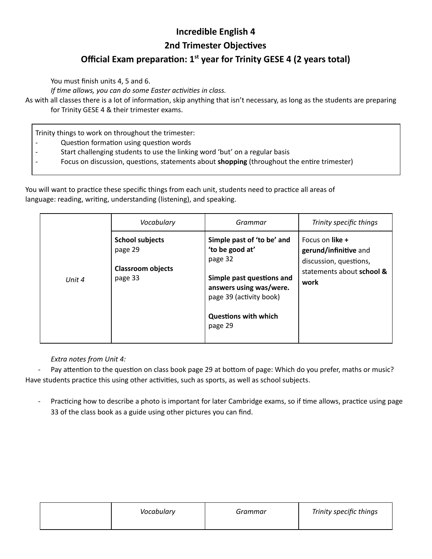# **Incredible English 4**

### **2nd Trimester Objectives**

# **Official Exam preparation: 1<sup>st</sup> year for Trinity GESE 4 (2 years total)**

You must finish units 4, 5 and 6.

*If time allows, you can do some Easter activities in class.* 

As with all classes there is a lot of information, skip anything that isn't necessary, as long as the students are preparing for Trinity GESE 4 & their trimester exams.

Trinity things to work on throughout the trimester:

- Question formation using question words
- Start challenging students to use the linking word 'but' on a regular basis
- Focus on discussion, questions, statements about **shopping** (throughout the entire trimester)

You will want to practice these specific things from each unit, students need to practice all areas of language: reading, writing, understanding (listening), and speaking.

|        | Vocabulary                                                               | Grammar                                                                                                                                                                               | Trinity specific things                                                                                 |
|--------|--------------------------------------------------------------------------|---------------------------------------------------------------------------------------------------------------------------------------------------------------------------------------|---------------------------------------------------------------------------------------------------------|
| Unit 4 | <b>School subjects</b><br>page 29<br><b>Classroom objects</b><br>page 33 | Simple past of 'to be' and<br>'to be good at'<br>page 32<br>Simple past questions and<br>answers using was/were.<br>page 39 (activity book)<br><b>Questions with which</b><br>page 29 | Focus on like +<br>gerund/infinitive and<br>discussion, questions,<br>statements about school &<br>work |

*Extra notes from Unit 4:*

Pay attention to the question on class book page 29 at bottom of page: Which do you prefer, maths or music? Have students practice this using other activities, such as sports, as well as school subjects.

Practicing how to describe a photo is important for later Cambridge exams, so if time allows, practice using page 33 of the class book as a guide using other pictures you can find.

| Vocabulary | Grammar | Trinity specific things |
|------------|---------|-------------------------|
|            |         |                         |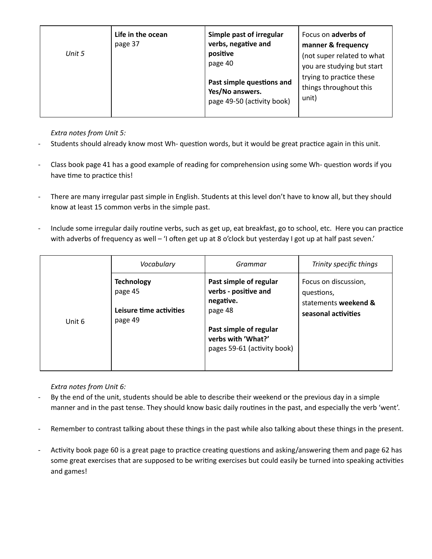| Unit 5 | Life in the ocean<br>page 37 | Simple past of irregular<br>verbs, negative and<br>positive<br>page 40     | Focus on adverbs of<br>manner & frequency<br>(not super related to what<br>you are studying but start |
|--------|------------------------------|----------------------------------------------------------------------------|-------------------------------------------------------------------------------------------------------|
|        |                              | Past simple questions and<br>Yes/No answers.<br>page 49-50 (activity book) | trying to practice these<br>things throughout this<br>unit)                                           |

*Extra notes from Unit 5:*

- Students should already know most Wh- question words, but it would be great practice again in this unit.
- Class book page 41 has a good example of reading for comprehension using some Wh- question words if you have time to practice this!
- There are many irregular past simple in English. Students at this level don't have to know all, but they should know at least 15 common verbs in the simple past.
- Include some irregular daily routine verbs, such as get up, eat breakfast, go to school, etc. Here you can practice with adverbs of frequency as well – 'I often get up at 8 o'clock but yesterday I got up at half past seven.'

|        | Vocabulary                                                         | Grammar                                                                                                                                               | Trinity specific things                                                           |
|--------|--------------------------------------------------------------------|-------------------------------------------------------------------------------------------------------------------------------------------------------|-----------------------------------------------------------------------------------|
| Unit 6 | <b>Technology</b><br>page 45<br>Leisure time activities<br>page 49 | Past simple of regular<br>verbs - positive and<br>negative.<br>page 48<br>Past simple of regular<br>verbs with 'What?'<br>pages 59-61 (activity book) | Focus on discussion,<br>questions,<br>statements weekend &<br>seasonal activities |

*Extra notes from Unit 6:*

- By the end of the unit, students should be able to describe their weekend or the previous day in a simple manner and in the past tense. They should know basic daily routines in the past, and especially the verb 'went'.
- Remember to contrast talking about these things in the past while also talking about these things in the present.
- Activity book page 60 is a great page to practice creating questions and asking/answering them and page 62 has some great exercises that are supposed to be writing exercises but could easily be turned into speaking activities and games!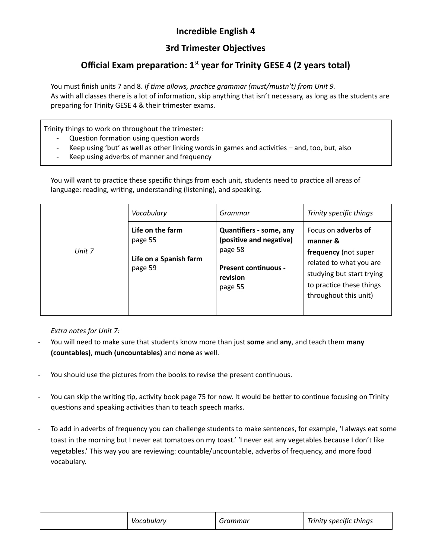# **Incredible English 4**

# **3rd Trimester Objectives**

# **Official Exam preparation: 1<sup>st</sup> year for Trinity GESE 4 (2 years total)**

You must finish units 7 and 8. *If me allows, pracce grammar (must/mustn't) from Unit 9.* As with all classes there is a lot of information, skip anything that isn't necessary, as long as the students are preparing for Trinity GESE 4 & their trimester exams.

Trinity things to work on throughout the trimester:

- Question formation using question words
- Keep using 'but' as well as other linking words in games and activities and, too, but, also
- Keep using adverbs of manner and frequency

You will want to practice these specific things from each unit, students need to practice all areas of language: reading, writing, understanding (listening), and speaking.

|        | Vocabulary                                                       | Grammar                                                                                                                    | Trinity specific things                                                                                                                                                     |
|--------|------------------------------------------------------------------|----------------------------------------------------------------------------------------------------------------------------|-----------------------------------------------------------------------------------------------------------------------------------------------------------------------------|
| Unit 7 | Life on the farm<br>page 55<br>Life on a Spanish farm<br>page 59 | <b>Quantifiers - some, any</b><br>(positive and negative)<br>page 58<br><b>Present continuous -</b><br>revision<br>page 55 | Focus on <b>adverbs of</b><br>manner &<br>frequency (not super<br>related to what you are<br>studying but start trying<br>to practice these things<br>throughout this unit) |

*Extra notes for Unit 7:*

- You will need to make sure that students know more than just **some** and **any**, and teach them **many (countables)**, **much (uncountables)** and **none** as well.
- You should use the pictures from the books to revise the present continuous.
- You can skip the writing tip, activity book page 75 for now. It would be better to continue focusing on Trinity questions and speaking activities than to teach speech marks.
- To add in adverbs of frequency you can challenge students to make sentences, for example, 'I always eat some toast in the morning but I never eat tomatoes on my toast.' 'I never eat any vegetables because I don't like vegetables.' This way you are reviewing: countable/uncountable, adverbs of frequency, and more food vocabulary.

| Trinity specific things<br>rammar.<br>Vocabulary |  |  |  |  |
|--------------------------------------------------|--|--|--|--|
|--------------------------------------------------|--|--|--|--|